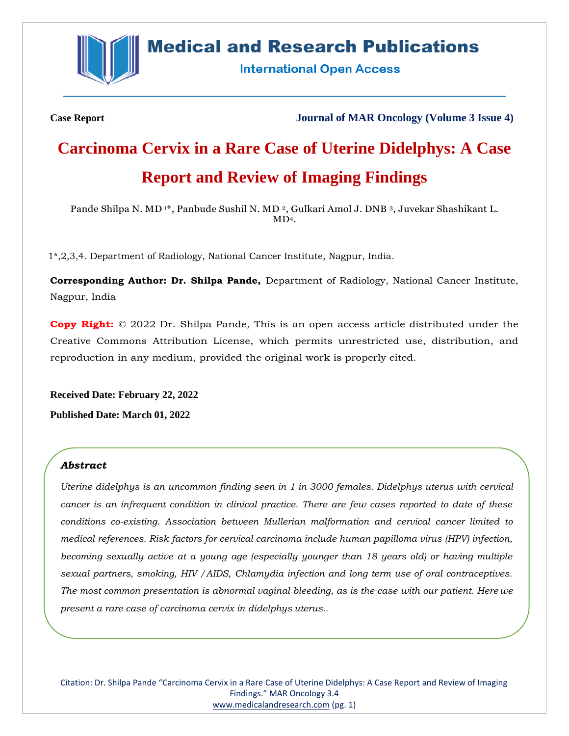

# **Medical and Research Publications**

**International Open Access** 

**Case Report Journal of MAR Oncology (Volume 3 Issue 4)**

# **Carcinoma Cervix in a Rare Case of Uterine Didelphys: A Case Report and Review of Imaging Findings**

Pande Shilpa N. MD<sup>1\*</sup>, Panbude Sushil N. MD<sup>2</sup>, Gulkari Amol J. DNB<sup>3</sup>, Juvekar Shashikant L. MD4.

1\*,2,3,4. Department of Radiology, National Cancer Institute, Nagpur, India.

**Corresponding Author: Dr. Shilpa Pande,** Department of Radiology, National Cancer Institute, Nagpur, India

**Copy Right:** © 2022 Dr. Shilpa Pande, This is an open access article distributed under the Creative Commons Attribution License, which permits unrestricted use, distribution, and reproduction in any medium, provided the original work is properly cited.

**Received Date: February 22, 2022 Published Date: March 01, 2022**

# *Abstract*

*Uterine didelphys is an uncommon finding seen in 1 in 3000 females. Didelphys uterus with cervical cancer is an infrequent condition in clinical practice. There are few cases reported to date of these conditions co-existing. Association between Mullerian malformation and cervical cancer limited to medical references. Risk factors for cervical carcinoma include human papilloma virus (HPV) infection, becoming sexually active at a young age (especially younger than 18 years old) or having multiple sexual partners, smoking, HIV /AIDS, Chlamydia infection and long term use of oral contraceptives. The most common presentation is abnormal vaginal bleeding, as is the case with our patient. Here we present a rare case of carcinoma cervix in didelphys uterus..*

Citation: Dr. Shilpa Pande "Carcinoma Cervix in a Rare Case of Uterine Didelphys: A Case Report and Review of Imaging Findings." MAR Oncology 3.4 [www.medicalandresearch.com](http://www.medicalandresearch.com/) (pg. 1)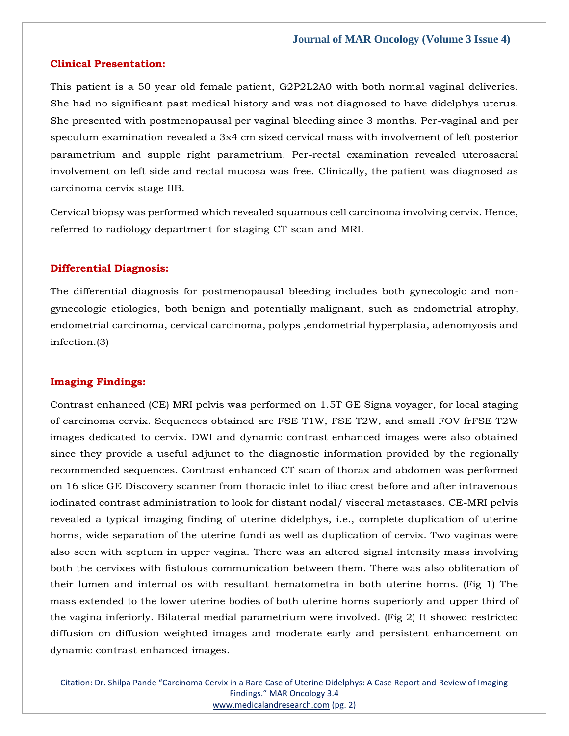# **Clinical Presentation:**

This patient is a 50 year old female patient, G2P2L2A0 with both normal vaginal deliveries. She had no significant past medical history and was not diagnosed to have didelphys uterus. She presented with postmenopausal per vaginal bleeding since 3 months. Per-vaginal and per speculum examination revealed a 3x4 cm sized cervical mass with involvement of left posterior parametrium and supple right parametrium. Per-rectal examination revealed uterosacral involvement on left side and rectal mucosa was free. Clinically, the patient was diagnosed as carcinoma cervix stage IIB.

Cervical biopsy was performed which revealed squamous cell carcinoma involving cervix. Hence, referred to radiology department for staging CT scan and MRI.

# **Differential Diagnosis:**

The differential diagnosis for postmenopausal bleeding includes both gynecologic and nongynecologic etiologies, both benign and potentially malignant, such as endometrial atrophy, endometrial carcinoma, cervical carcinoma, polyps ,endometrial hyperplasia, adenomyosis and infection.(3)

#### **Imaging Findings:**

Contrast enhanced (CE) MRI pelvis was performed on 1.5T GE Signa voyager, for local staging of carcinoma cervix. Sequences obtained are FSE T1W, FSE T2W, and small FOV frFSE T2W images dedicated to cervix. DWI and dynamic contrast enhanced images were also obtained since they provide a useful adjunct to the diagnostic information provided by the regionally recommended sequences. Contrast enhanced CT scan of thorax and abdomen was performed on 16 slice GE Discovery scanner from thoracic inlet to iliac crest before and after intravenous iodinated contrast administration to look for distant nodal/ visceral metastases. CE-MRI pelvis revealed a typical imaging finding of uterine didelphys, i.e., complete duplication of uterine horns, wide separation of the uterine fundi as well as duplication of cervix. Two vaginas were also seen with septum in upper vagina. There was an altered signal intensity mass involving both the cervixes with fistulous communication between them. There was also obliteration of their lumen and internal os with resultant hematometra in both uterine horns. (Fig 1) The mass extended to the lower uterine bodies of both uterine horns superiorly and upper third of the vagina inferiorly. Bilateral medial parametrium were involved. (Fig 2) It showed restricted diffusion on diffusion weighted images and moderate early and persistent enhancement on dynamic contrast enhanced images.

Citation: Dr. Shilpa Pande "Carcinoma Cervix in a Rare Case of Uterine Didelphys: A Case Report and Review of Imaging Findings." MAR Oncology 3.4 [www.medicalandresearch.com](http://www.medicalandresearch.com/) (pg. 2)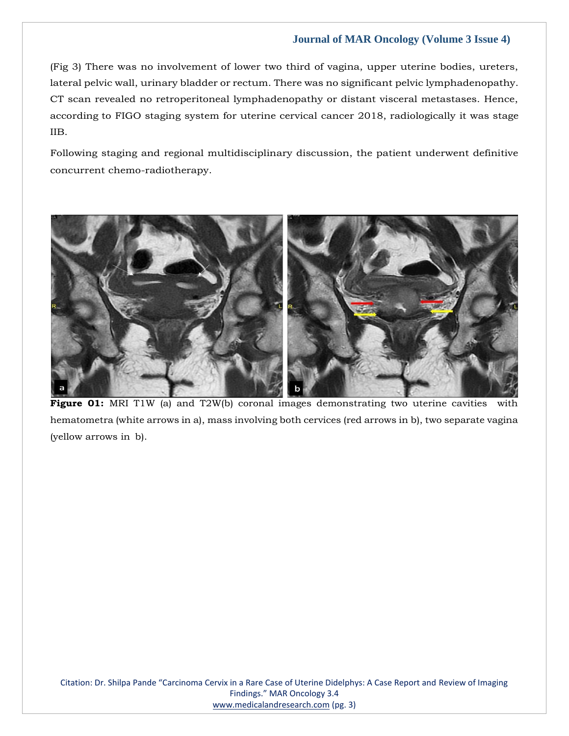(Fig 3) There was no involvement of lower two third of vagina, upper uterine bodies, ureters, lateral pelvic wall, urinary bladder or rectum. There was no significant pelvic lymphadenopathy. CT scan revealed no retroperitoneal lymphadenopathy or distant visceral metastases. Hence, according to FIGO staging system for uterine cervical cancer 2018, radiologically it was stage IIB.

Following staging and regional multidisciplinary discussion, the patient underwent definitive concurrent chemo-radiotherapy.



Figure 01: MRI T1W (a) and T2W(b) coronal images demonstrating two uterine cavities with hematometra (white arrows in a), mass involving both cervices (red arrows in b), two separate vagina (yellow arrows in b).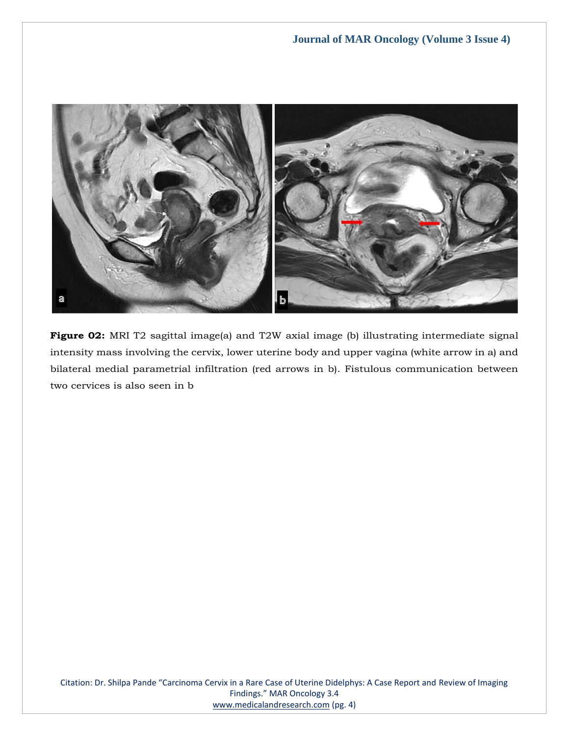

**Figure 02:** MRI T2 sagittal image(a) and T2W axial image (b) illustrating intermediate signal intensity mass involving the cervix, lower uterine body and upper vagina (white arrow in a) and bilateral medial parametrial infiltration (red arrows in b). Fistulous communication between two cervices is also seen in b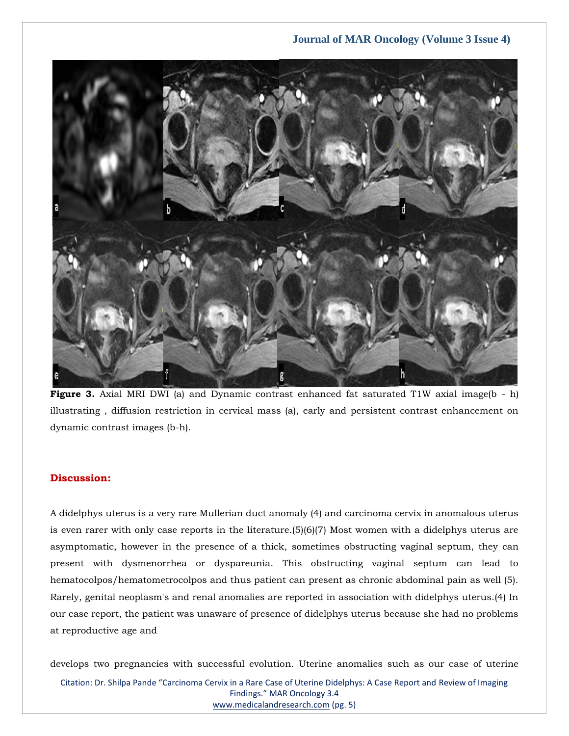

Figure 3. Axial MRI DWI (a) and Dynamic contrast enhanced fat saturated T1W axial image(b - h) illustrating , diffusion restriction in cervical mass (a), early and persistent contrast enhancement on dynamic contrast images (b-h).

# **Discussion:**

A didelphys uterus is a very rare Mullerian duct anomaly (4) and carcinoma cervix in anomalous uterus is even rarer with only case reports in the literature.(5)(6)(7) Most women with a didelphys uterus are asymptomatic, however in the presence of a thick, sometimes obstructing vaginal septum, they can present with dysmenorrhea or dyspareunia. This obstructing vaginal septum can lead to hematocolpos/hematometrocolpos and thus patient can present as chronic abdominal pain as well (5). Rarely, genital neoplasm's and renal anomalies are reported in association with didelphys uterus.(4) In our case report, the patient was unaware of presence of didelphys uterus because she had no problems at reproductive age and

develops two pregnancies with successful evolution. Uterine anomalies such as our case of uterine

Citation: Dr. Shilpa Pande "Carcinoma Cervix in a Rare Case of Uterine Didelphys: A Case Report and Review of Imaging Findings." MAR Oncology 3.4 [www.medicalandresearch.com](http://www.medicalandresearch.com/) (pg. 5)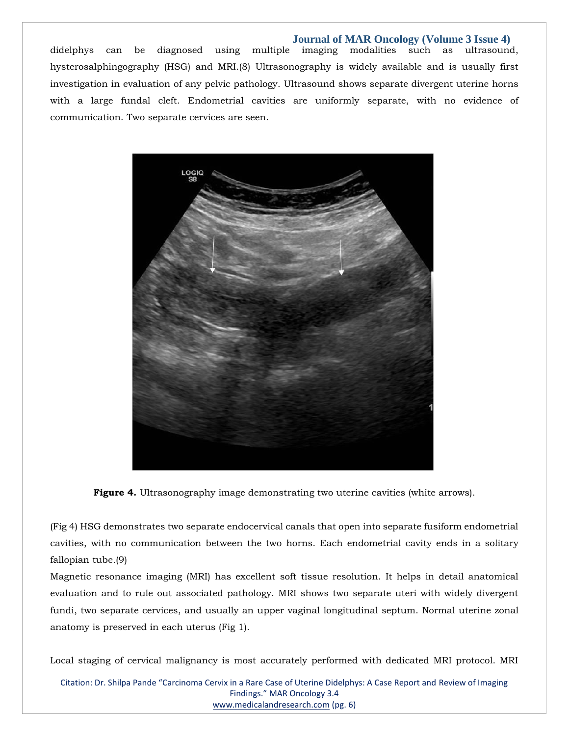didelphys can be diagnosed using multiple imaging modalities such as ultrasound, hysterosalphingography (HSG) and MRI.(8) Ultrasonography is widely available and is usually first investigation in evaluation of any pelvic pathology. Ultrasound shows separate divergent uterine horns with a large fundal cleft. Endometrial cavities are uniformly separate, with no evidence of communication. Two separate cervices are seen.



**Figure 4.** Ultrasonography image demonstrating two uterine cavities (white arrows).

(Fig 4) HSG demonstrates two separate endocervical canals that open into separate fusiform endometrial cavities, with no communication between the two horns. Each endometrial cavity ends in a solitary fallopian tube.(9)

Magnetic resonance imaging (MRI) has excellent soft tissue resolution. It helps in detail anatomical evaluation and to rule out associated pathology. MRI shows two separate uteri with widely divergent fundi, two separate cervices, and usually an upper vaginal longitudinal septum. Normal uterine zonal anatomy is preserved in each uterus (Fig 1).

Local staging of cervical malignancy is most accurately performed with dedicated MRI protocol. MRI

Citation: Dr. Shilpa Pande "Carcinoma Cervix in a Rare Case of Uterine Didelphys: A Case Report and Review of Imaging Findings." MAR Oncology 3.4 [www.medicalandresearch.com](http://www.medicalandresearch.com/) (pg. 6)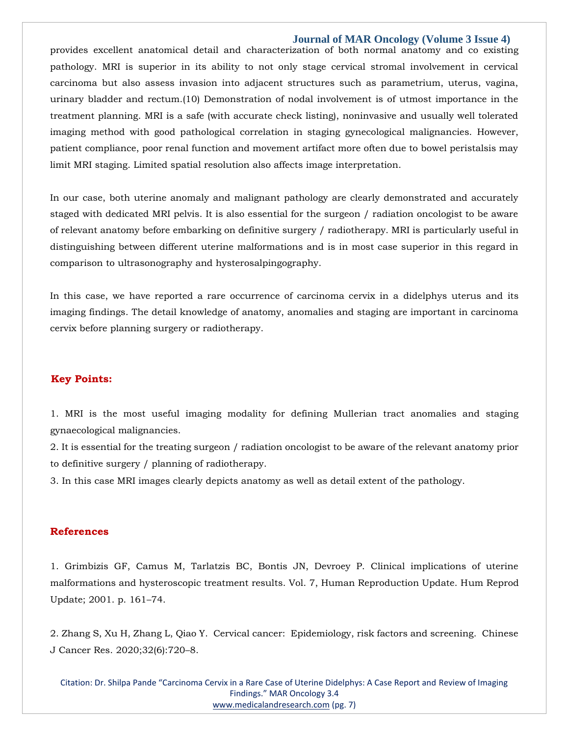provides excellent anatomical detail and characterization of both normal anatomy and co existing pathology. MRI is superior in its ability to not only stage cervical stromal involvement in cervical carcinoma but also assess invasion into adjacent structures such as parametrium, uterus, vagina, urinary bladder and rectum.(10) Demonstration of nodal involvement is of utmost importance in the treatment planning. MRI is a safe (with accurate check listing), noninvasive and usually well tolerated imaging method with good pathological correlation in staging gynecological malignancies. However, patient compliance, poor renal function and movement artifact more often due to bowel peristalsis may limit MRI staging. Limited spatial resolution also affects image interpretation.

In our case, both uterine anomaly and malignant pathology are clearly demonstrated and accurately staged with dedicated MRI pelvis. It is also essential for the surgeon / radiation oncologist to be aware of relevant anatomy before embarking on definitive surgery / radiotherapy. MRI is particularly useful in distinguishing between different uterine malformations and is in most case superior in this regard in comparison to ultrasonography and hysterosalpingography.

In this case, we have reported a rare occurrence of carcinoma cervix in a didelphys uterus and its imaging findings. The detail knowledge of anatomy, anomalies and staging are important in carcinoma cervix before planning surgery or radiotherapy.

# **Key Points:**

1. MRI is the most useful imaging modality for defining Mullerian tract anomalies and staging gynaecological malignancies.

2. It is essential for the treating surgeon / radiation oncologist to be aware of the relevant anatomy prior to definitive surgery / planning of radiotherapy.

3. In this case MRI images clearly depicts anatomy as well as detail extent of the pathology.

#### **References**

1. Grimbizis GF, Camus M, Tarlatzis BC, Bontis JN, Devroey P. Clinical implications of uterine malformations and hysteroscopic treatment results. Vol. 7, Human Reproduction Update. Hum Reprod Update; 2001. p. 161–74.

2. Zhang S, Xu H, Zhang L, Qiao Y. Cervical cancer: Epidemiology, risk factors and screening. Chinese J Cancer Res. 2020;32(6):720–8.

Citation: Dr. Shilpa Pande "Carcinoma Cervix in a Rare Case of Uterine Didelphys: A Case Report and Review of Imaging Findings." MAR Oncology 3.4 [www.medicalandresearch.com](http://www.medicalandresearch.com/) (pg. 7)